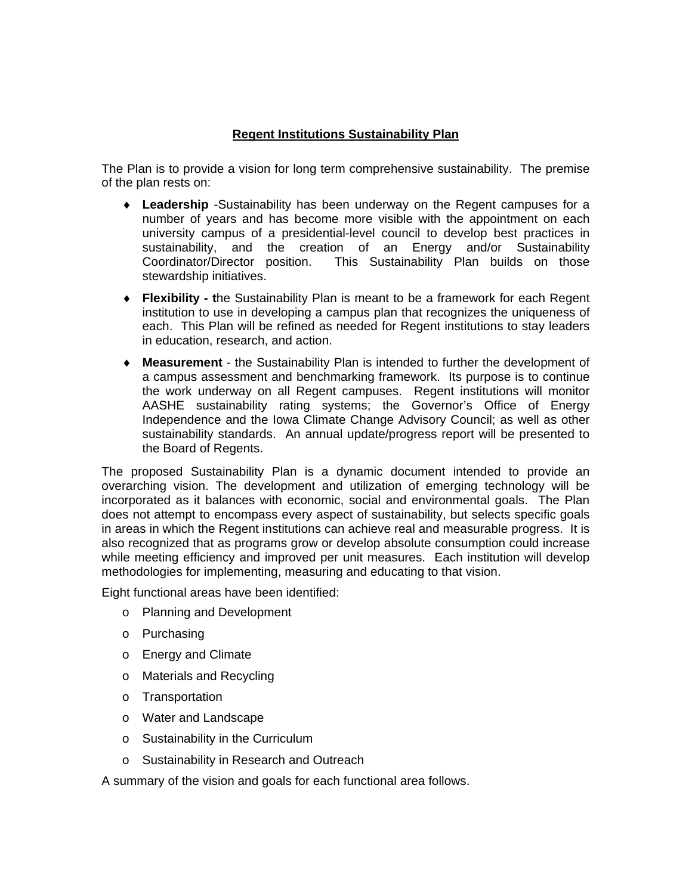# **Regent Institutions Sustainability Plan**

The Plan is to provide a vision for long term comprehensive sustainability. The premise of the plan rests on:

- **Leadership** -Sustainability has been underway on the Regent campuses for a number of years and has become more visible with the appointment on each university campus of a presidential-level council to develop best practices in sustainability, and the creation of an Energy and/or Sustainability<br>Coordinator/Director position. This Sustainability Plan builds on those This Sustainability Plan builds on those stewardship initiatives.
- **Flexibility t**he Sustainability Plan is meant to be a framework for each Regent institution to use in developing a campus plan that recognizes the uniqueness of each. This Plan will be refined as needed for Regent institutions to stay leaders in education, research, and action.
- **Measurement**  the Sustainability Plan is intended to further the development of a campus assessment and benchmarking framework. Its purpose is to continue the work underway on all Regent campuses. Regent institutions will monitor AASHE sustainability rating systems; the Governor's Office of Energy Independence and the Iowa Climate Change Advisory Council; as well as other sustainability standards. An annual update/progress report will be presented to the Board of Regents.

The proposed Sustainability Plan is a dynamic document intended to provide an overarching vision. The development and utilization of emerging technology will be incorporated as it balances with economic, social and environmental goals. The Plan does not attempt to encompass every aspect of sustainability, but selects specific goals in areas in which the Regent institutions can achieve real and measurable progress. It is also recognized that as programs grow or develop absolute consumption could increase while meeting efficiency and improved per unit measures. Each institution will develop methodologies for implementing, measuring and educating to that vision.

Eight functional areas have been identified:

- o Planning and Development
- o Purchasing
- o Energy and Climate
- o Materials and Recycling
- o Transportation
- o Water and Landscape
- o Sustainability in the Curriculum
- o Sustainability in Research and Outreach

A summary of the vision and goals for each functional area follows.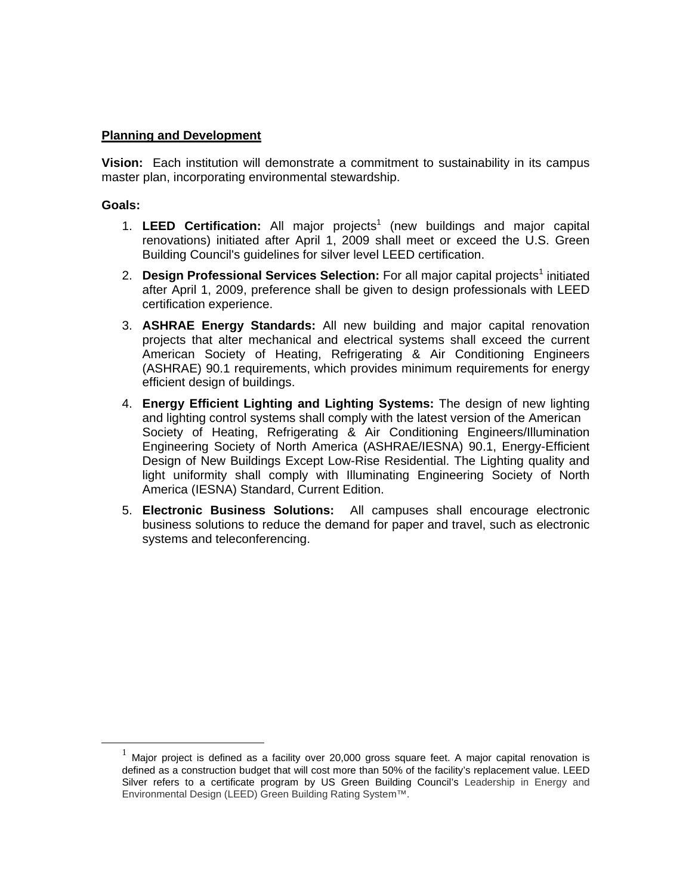# **Planning and Development**

**Vision:** Each institution will demonstrate a commitment to sustainability in its campus master plan, incorporating environmental stewardship.

- 1. LEED Certification: All major projects<sup>1</sup> (new buildings and major capital renovations) initiated after April 1, 2009 shall meet or exceed the U.S. Green Building Council's guidelines for silver level LEED certification.
- 2. Design Professional Services Selection: For all major capital projects<sup>1</sup> initiated after April 1, 2009, preference shall be given to design professionals with LEED certification experience.
- 3. **ASHRAE Energy Standards:** All new building and major capital renovation projects that alter mechanical and electrical systems shall exceed the current American Society of Heating, Refrigerating & Air Conditioning Engineers (ASHRAE) 90.1 requirements, which provides minimum requirements for energy efficient design of buildings.
- 4. **Energy Efficient Lighting and Lighting Systems:** The design of new lighting and lighting control systems shall comply with the latest version of the American Society of Heating, Refrigerating & Air Conditioning Engineers/Illumination Engineering Society of North America (ASHRAE/IESNA) 90.1, Energy-Efficient Design of New Buildings Except Low-Rise Residential. The Lighting quality and light uniformity shall comply with Illuminating Engineering Society of North America (IESNA) Standard, Current Edition.
- 5. **Electronic Business Solutions:** All campuses shall encourage electronic business solutions to reduce the demand for paper and travel, such as electronic systems and teleconferencing.

Major project is defined as a facility over 20,000 gross square feet. A major capital renovation is defined as a construction budget that will cost more than 50% of the facility's replacement value. LEED Silver refers to a certificate program by US Green Building Council's Leadership in Energy and Environmental Design (LEED) Green Building Rating System™.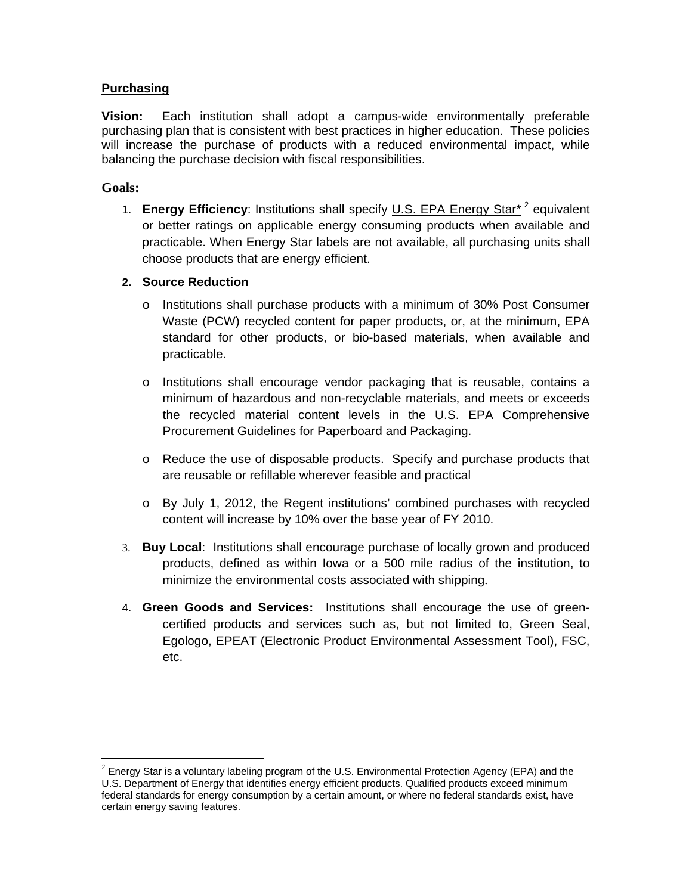# **Purchasing**

**Vision:** Each institution shall adopt a campus-wide environmentally preferable purchasing plan that is consistent with best practices in higher education. These policies will increase the purchase of products with a reduced environmental impact, while balancing the purchase decision with fiscal responsibilities.

# **Goals:**

 $\overline{a}$ 

1. **Energy Efficiency**: Institutions shall specify U.S. EPA Energy Star\* 2 equivalent or better ratings on applicable energy consuming products when available and practicable. When Energy Star labels are not available, all purchasing units shall choose products that are energy efficient.

# **2. Source Reduction**

- o Institutions shall purchase products with a minimum of 30% Post Consumer Waste (PCW) recycled content for paper products, or, at the minimum, EPA standard for other products, or bio-based materials, when available and practicable.
- o Institutions shall encourage vendor packaging that is reusable, contains a minimum of hazardous and non-recyclable materials, and meets or exceeds the recycled material content levels in the U.S. EPA Comprehensive Procurement Guidelines for Paperboard and Packaging.
- o Reduce the use of disposable products. Specify and purchase products that are reusable or refillable wherever feasible and practical
- o By July 1, 2012, the Regent institutions' combined purchases with recycled content will increase by 10% over the base year of FY 2010.
- 3. **Buy Local**: Institutions shall encourage purchase of locally grown and produced products, defined as within Iowa or a 500 mile radius of the institution, to minimize the environmental costs associated with shipping.
- 4. **Green Goods and Services:** Institutions shall encourage the use of greencertified products and services such as, but not limited to, Green Seal, Egologo, EPEAT (Electronic Product Environmental Assessment Tool), FSC, etc.

 $2$  Energy Star is a voluntary labeling program of the U.S. Environmental Protection Agency (EPA) and the U.S. Department of Energy that identifies energy efficient products. Qualified products exceed minimum federal standards for energy consumption by a certain amount, or where no federal standards exist, have certain energy saving features.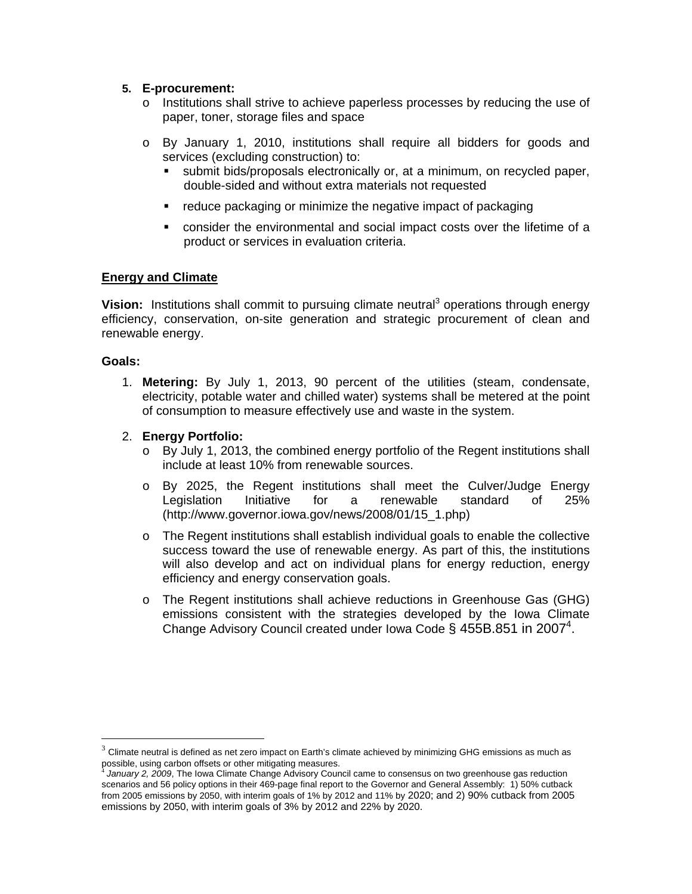## **5. E-procurement:**

- o Institutions shall strive to achieve paperless processes by reducing the use of paper, toner, storage files and space
- o By January 1, 2010, institutions shall require all bidders for goods and services (excluding construction) to:
	- submit bids/proposals electronically or, at a minimum, on recycled paper, double-sided and without extra materials not requested
	- reduce packaging or minimize the negative impact of packaging
	- consider the environmental and social impact costs over the lifetime of a product or services in evaluation criteria.

### **Energy and Climate**

Vision: Institutions shall commit to pursuing climate neutral<sup>3</sup> operations through energy efficiency, conservation, on-site generation and strategic procurement of clean and renewable energy.

#### **Goals:**

 $\overline{a}$ 

1. **Metering:** By July 1, 2013, 90 percent of the utilities (steam, condensate, electricity, potable water and chilled water) systems shall be metered at the point of consumption to measure effectively use and waste in the system.

#### 2. **Energy Portfolio:**

- o By July 1, 2013, the combined energy portfolio of the Regent institutions shall include at least 10% from renewable sources.
- o By 2025, the Regent institutions shall meet the Culver/Judge Energy Legislation Initiative for a renewable standard of 25% (http://www.governor.iowa.gov/news/2008/01/15\_1.php)
- $\circ$  The Regent institutions shall establish individual goals to enable the collective success toward the use of renewable energy. As part of this, the institutions will also develop and act on individual plans for energy reduction, energy efficiency and energy conservation goals.
- o The Regent institutions shall achieve reductions in Greenhouse Gas (GHG) emissions consistent with the strategies developed by the Iowa Climate Change Advisory Council created under Iowa Code § 455B.851 in 2007<sup>4</sup>.

 $3$  Climate neutral is defined as net zero impact on Earth's climate achieved by minimizing GHG emissions as much as possible, using carbon offsets or other mitigating measures.

January 2, 2009, The Iowa Climate Change Advisory Council came to consensus on two greenhouse gas reduction scenarios and 56 policy options in their 469-page final report to the Governor and General Assembly: 1) 50% cutback from 2005 emissions by 2050, with interim goals of 1% by 2012 and 11% by 2020; and 2) 90% cutback from 2005 emissions by 2050, with interim goals of 3% by 2012 and 22% by 2020.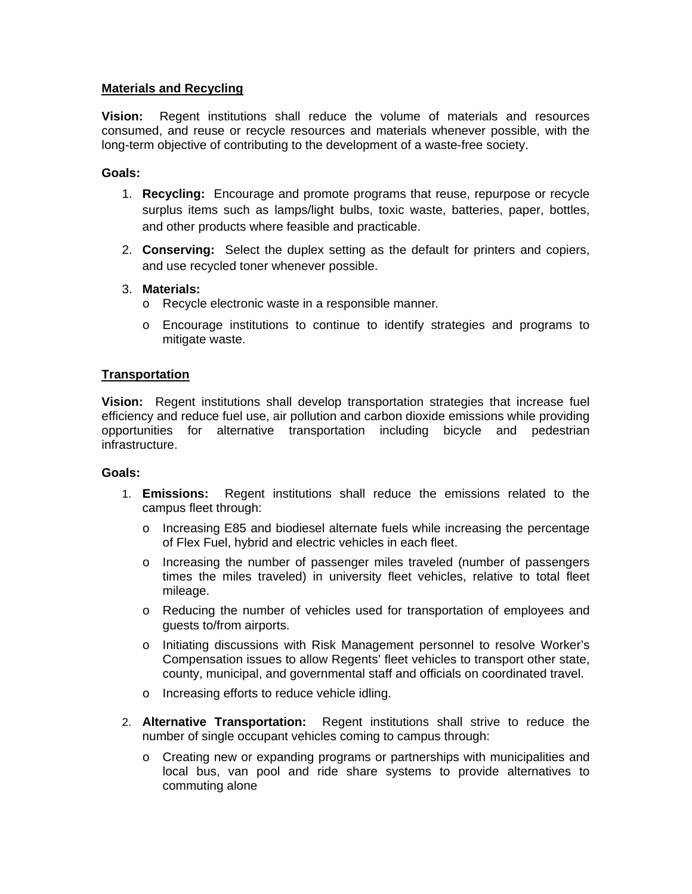# **Materials and Recycling**

**Vision:** Regent institutions shall reduce the volume of materials and resources consumed, and reuse or recycle resources and materials whenever possible, with the long-term objective of contributing to the development of a waste-free society.

# **Goals:**

- 1. **Recycling:** Encourage and promote programs that reuse, repurpose or recycle surplus items such as lamps/light bulbs, toxic waste, batteries, paper, bottles, and other products where feasible and practicable.
- 2. **Conserving:** Select the duplex setting as the default for printers and copiers, and use recycled toner whenever possible.
- 3. **Materials:** 
	- o Recycle electronic waste in a responsible manner*.*
	- o Encourage institutions to continue to identify strategies and programs to mitigate waste.

# **Transportation**

**Vision:** Regent institutions shall develop transportation strategies that increase fuel efficiency and reduce fuel use, air pollution and carbon dioxide emissions while providing opportunities for alternative transportation including bicycle and pedestrian infrastructure.

- 1. **Emissions:** Regent institutions shall reduce the emissions related to the campus fleet through:
	- o Increasing E85 and biodiesel alternate fuels while increasing the percentage of Flex Fuel, hybrid and electric vehicles in each fleet.
	- o Increasing the number of passenger miles traveled (number of passengers times the miles traveled) in university fleet vehicles, relative to total fleet mileage.
	- o Reducing the number of vehicles used for transportation of employees and guests to/from airports.
	- o Initiating discussions with Risk Management personnel to resolve Worker's Compensation issues to allow Regents' fleet vehicles to transport other state, county, municipal, and governmental staff and officials on coordinated travel.
	- o Increasing efforts to reduce vehicle idling.
- 2. **Alternative Transportation:** Regent institutions shall strive to reduce the number of single occupant vehicles coming to campus through:
	- o Creating new or expanding programs or partnerships with municipalities and local bus, van pool and ride share systems to provide alternatives to commuting alone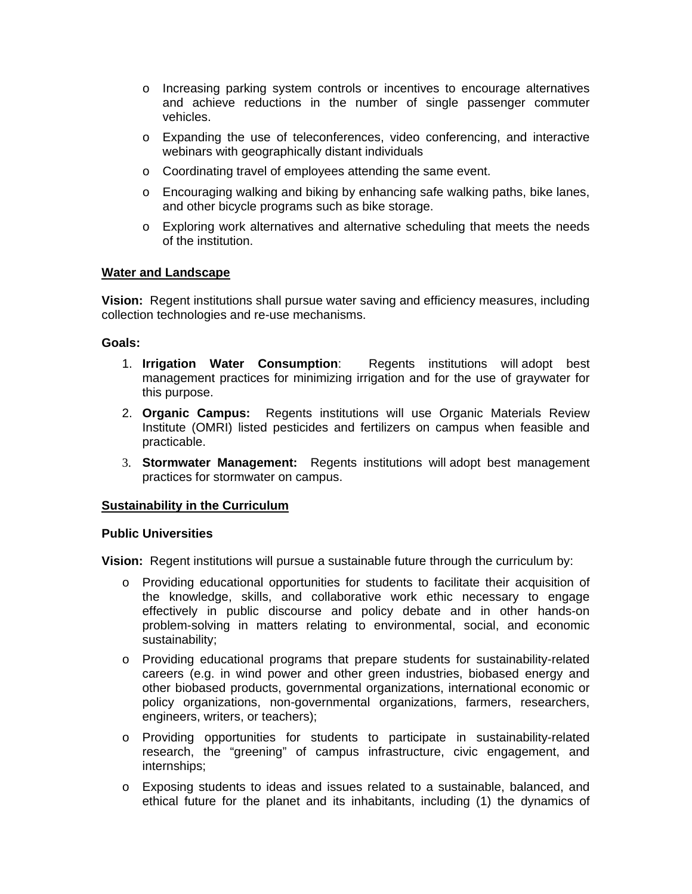- o Increasing parking system controls or incentives to encourage alternatives and achieve reductions in the number of single passenger commuter vehicles.
- o Expanding the use of teleconferences, video conferencing, and interactive webinars with geographically distant individuals
- o Coordinating travel of employees attending the same event.
- o Encouraging walking and biking by enhancing safe walking paths, bike lanes, and other bicycle programs such as bike storage.
- o Exploring work alternatives and alternative scheduling that meets the needs of the institution.

## **Water and Landscape**

**Vision:** Regent institutions shall pursue water saving and efficiency measures, including collection technologies and re-use mechanisms.

#### **Goals:**

- 1. **Irrigation Water Consumption**: Regents institutions will adopt best management practices for minimizing irrigation and for the use of graywater for this purpose.
- 2. **Organic Campus:** Regents institutions will use Organic Materials Review Institute (OMRI) listed pesticides and fertilizers on campus when feasible and practicable.
- 3. **Stormwater Management:** Regents institutions will adopt best management practices for stormwater on campus.

#### **Sustainability in the Curriculum**

#### **Public Universities**

**Vision:** Regent institutions will pursue a sustainable future through the curriculum by:

- o Providing educational opportunities for students to facilitate their acquisition of the knowledge, skills, and collaborative work ethic necessary to engage effectively in public discourse and policy debate and in other hands-on problem-solving in matters relating to environmental, social, and economic sustainability;
- o Providing educational programs that prepare students for sustainability-related careers (e.g. in wind power and other green industries, biobased energy and other biobased products, governmental organizations, international economic or policy organizations, non-governmental organizations, farmers, researchers, engineers, writers, or teachers);
- o Providing opportunities for students to participate in sustainability-related research, the "greening" of campus infrastructure, civic engagement, and internships;
- o Exposing students to ideas and issues related to a sustainable, balanced, and ethical future for the planet and its inhabitants, including (1) the dynamics of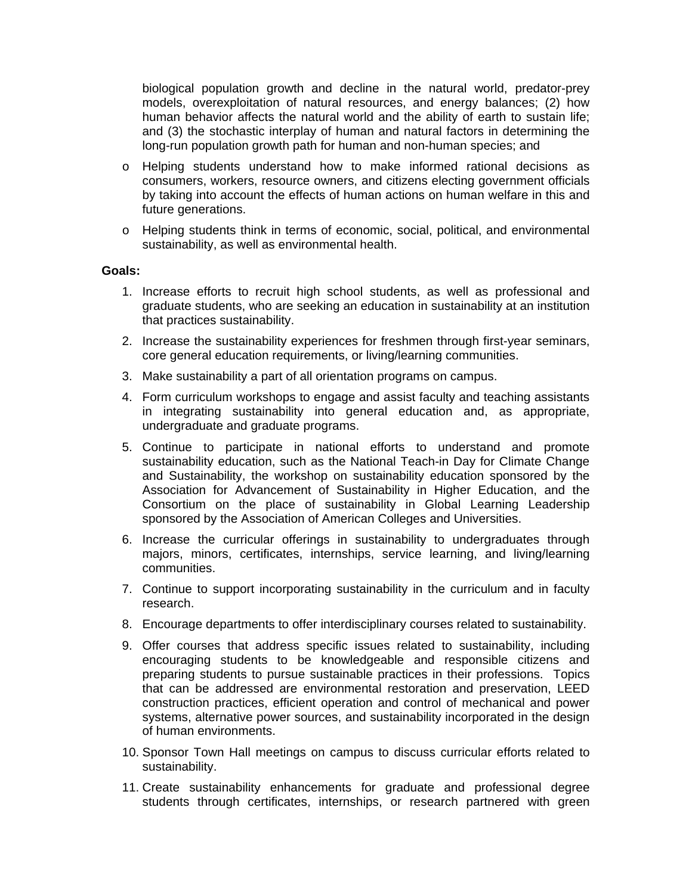biological population growth and decline in the natural world, predator-prey models, overexploitation of natural resources, and energy balances; (2) how human behavior affects the natural world and the ability of earth to sustain life; and (3) the stochastic interplay of human and natural factors in determining the long-run population growth path for human and non-human species; and

- o Helping students understand how to make informed rational decisions as consumers, workers, resource owners, and citizens electing government officials by taking into account the effects of human actions on human welfare in this and future generations.
- o Helping students think in terms of economic, social, political, and environmental sustainability, as well as environmental health.

- 1. Increase efforts to recruit high school students, as well as professional and graduate students, who are seeking an education in sustainability at an institution that practices sustainability.
- 2. Increase the sustainability experiences for freshmen through first-year seminars, core general education requirements, or living/learning communities.
- 3. Make sustainability a part of all orientation programs on campus.
- 4. Form curriculum workshops to engage and assist faculty and teaching assistants in integrating sustainability into general education and, as appropriate, undergraduate and graduate programs.
- 5. Continue to participate in national efforts to understand and promote sustainability education, such as the National Teach-in Day for Climate Change and Sustainability, the workshop on sustainability education sponsored by the Association for Advancement of Sustainability in Higher Education, and the Consortium on the place of sustainability in Global Learning Leadership sponsored by the Association of American Colleges and Universities.
- 6. Increase the curricular offerings in sustainability to undergraduates through majors, minors, certificates, internships, service learning, and living/learning communities.
- 7. Continue to support incorporating sustainability in the curriculum and in faculty research.
- 8. Encourage departments to offer interdisciplinary courses related to sustainability.
- 9. Offer courses that address specific issues related to sustainability, including encouraging students to be knowledgeable and responsible citizens and preparing students to pursue sustainable practices in their professions. Topics that can be addressed are environmental restoration and preservation, LEED construction practices, efficient operation and control of mechanical and power systems, alternative power sources, and sustainability incorporated in the design of human environments.
- 10. Sponsor Town Hall meetings on campus to discuss curricular efforts related to sustainability.
- 11. Create sustainability enhancements for graduate and professional degree students through certificates, internships, or research partnered with green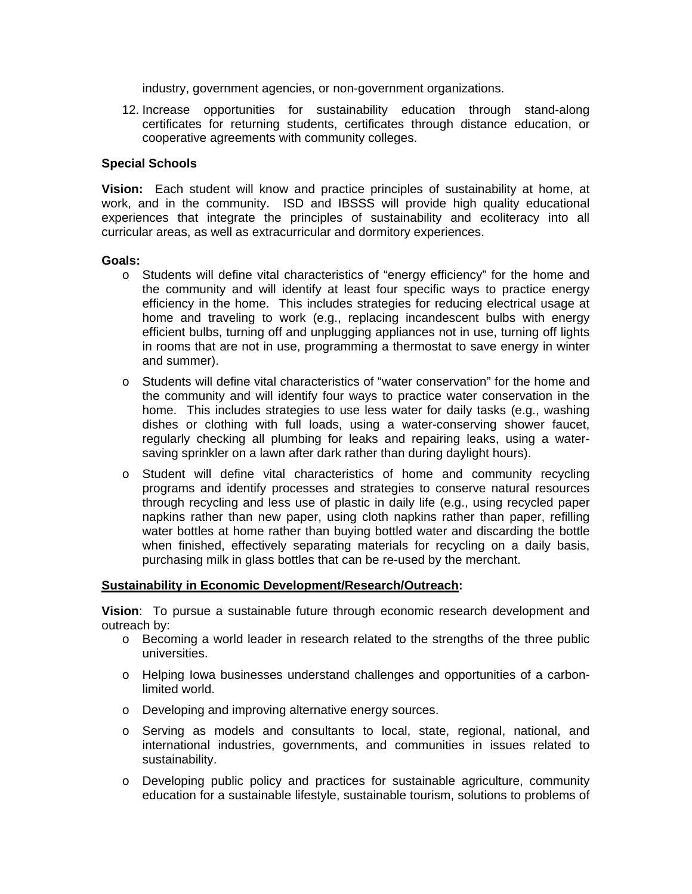industry, government agencies, or non-government organizations.

12. Increase opportunities for sustainability education through stand-along certificates for returning students, certificates through distance education, or cooperative agreements with community colleges.

#### **Special Schools**

**Vision:** Each student will know and practice principles of sustainability at home, at work, and in the community. ISD and IBSSS will provide high quality educational experiences that integrate the principles of sustainability and ecoliteracy into all curricular areas, as well as extracurricular and dormitory experiences.

#### **Goals:**

- o Students will define vital characteristics of "energy efficiency" for the home and the community and will identify at least four specific ways to practice energy efficiency in the home. This includes strategies for reducing electrical usage at home and traveling to work (e.g., replacing incandescent bulbs with energy efficient bulbs, turning off and unplugging appliances not in use, turning off lights in rooms that are not in use, programming a thermostat to save energy in winter and summer).
- o Students will define vital characteristics of "water conservation" for the home and the community and will identify four ways to practice water conservation in the home. This includes strategies to use less water for daily tasks (e.g., washing dishes or clothing with full loads, using a water-conserving shower faucet, regularly checking all plumbing for leaks and repairing leaks, using a watersaving sprinkler on a lawn after dark rather than during daylight hours).
- o Student will define vital characteristics of home and community recycling programs and identify processes and strategies to conserve natural resources through recycling and less use of plastic in daily life (e.g., using recycled paper napkins rather than new paper, using cloth napkins rather than paper, refilling water bottles at home rather than buying bottled water and discarding the bottle when finished, effectively separating materials for recycling on a daily basis, purchasing milk in glass bottles that can be re-used by the merchant.

#### **Sustainability in Economic Development/Research/Outreach:**

**Vision**: To pursue a sustainable future through economic research development and outreach by:

- o Becoming a world leader in research related to the strengths of the three public universities.
- o Helping Iowa businesses understand challenges and opportunities of a carbonlimited world.
- o Developing and improving alternative energy sources.
- o Serving as models and consultants to local, state, regional, national, and international industries, governments, and communities in issues related to sustainability.
- o Developing public policy and practices for sustainable agriculture, community education for a sustainable lifestyle, sustainable tourism, solutions to problems of